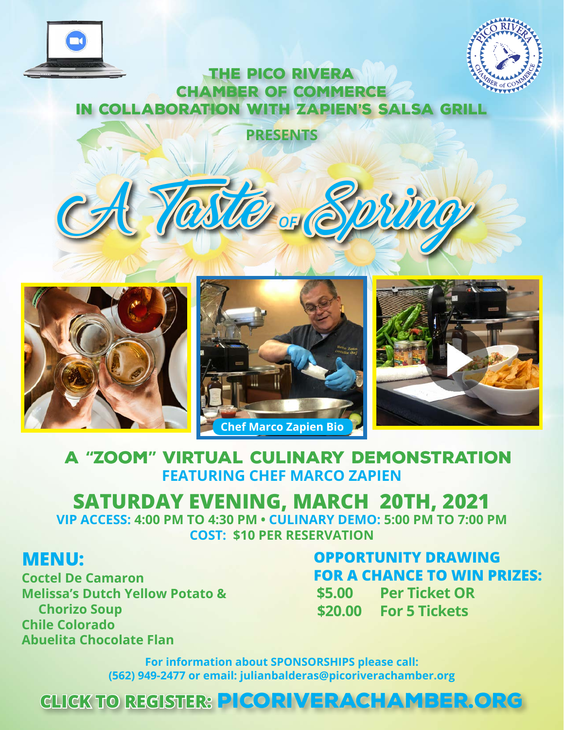



### THE PICO RIVERA CHAMBER OF COMMERCE In Collaboration with Zapien's Salsa Grill

**PRESENTS**

A Taste *OF* Spring



## A **"**ZOOM**"** Virtual CULINARY Demonstration **FEATURING CHEF MARCO ZAPIEN**

# **SATURDAY EVENING, MARCH 20TH, 2021**

**VIP ACCESS: 4:00 PM TO 4:30 PM • CULINARY DEMO: 5:00 PM TO 7:00 PM COST: \$10 PER RESERVATION**

## **MENU:**

**Coctel De Camaron Melissa's Dutch Yellow Potato & Chorizo Soup Chile Colorado Abuelita Chocolate Flan**

## **OPPORTUNITY DRAWING FOR A CHANCE TO WIN PRIZES:**

**\$5.00 Per Ticket OR \$20.00 For 5 Tickets**

**For information about SPONSORSHIPS please call: (562) 949-2477 or email: julianbalderas@picoriverachamber.org**

## **CLICK TO REGISTER:** [picoriverachamber.org](https://www.picoriverachamber.org/a-taste-of-spring)